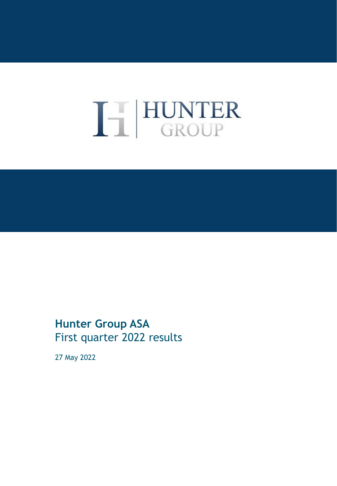# HUNTER

**Hunter Group ASA** First quarter 2022 results

27 May 2022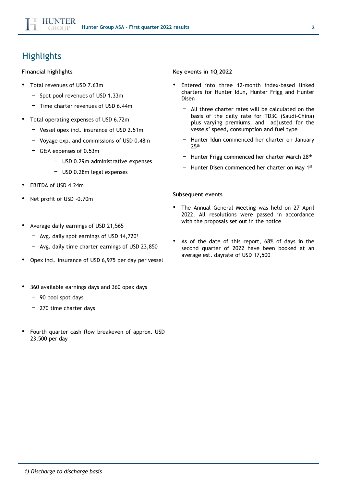# **Highlights**

## **Financial highlights**

- Total revenues of USD 7.63m
	- − Spot pool revenues of USD 1.33m
	- − Time charter revenues of USD 6.44m
- Total operating expenses of USD 6.72m
	- − Vessel opex incl. insurance of USD 2.51m
	- − Voyage exp. and commissions of USD 0.48m
	- − G&A expenses of 0.53m
		- − USD 0.29m administrative expenses
		- − USD 0.28m legal expenses
- EBITDA of USD 4.24m
- Net profit of USD -0.70m
- Average daily earnings of USD 21,565
	- − Avg. daily spot earnings of USD 14,720<sup>1</sup>
	- − Avg. daily time charter earnings of USD 23,850
- Opex incl. insurance of USD 6,975 per day per vessel
- 360 available earnings days and 360 opex days
	- − 90 pool spot days
	- − 270 time charter days
- Fourth quarter cash flow breakeven of approx. USD 23,500 per day

#### **Key events in 1Q 2022**

- Entered into three 12-month index-based linked charters for Hunter Idun, Hunter Frigg and Hunter Disen
	- − All three charter rates will be calculated on the basis of the daily rate for TD3C (Saudi-China) plus varying premiums, and adjusted for the vessels' speed, consumption and fuel type
	- − Hunter Idun commenced her charter on January 25th
	- − Hunter Frigg commenced her charter March 28th
	- − Hunter Disen commenced her charter on May 1<sup>st</sup>

#### **Subsequent events**

- The Annual General Meeting was held on 27 April 2022. All resolutions were passed in accordance with the proposals set out in the notice
- As of the date of this report, 68% of days in the second quarter of 2022 have been booked at an average est. dayrate of USD 17,500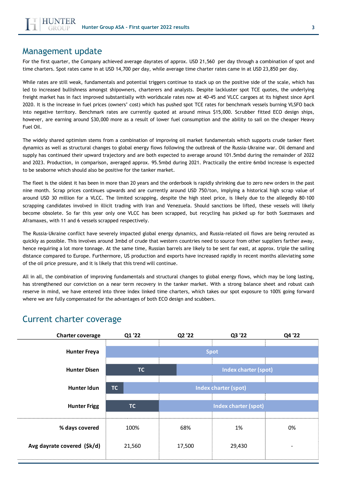## Management update

For the first quarter, the Company achieved average dayrates of approx. USD 21,560 per day through a combination of spot and time charters. Spot rates came in at USD 14,700 per day, while average time charter rates came in at USD 23,850 per day.

While rates are still weak, fundamentals and potential triggers continue to stack up on the positive side of the scale, which has led to increased bullishness amongst shipowners, charterers and analysts. Despite lackluster spot TCE quotes, the underlying freight market has in fact improved substantially with worldscale rates now at 40-45 and VLCC cargoes at its highest since April 2020. It is the increase in fuel prices (owners' cost) which has pushed spot TCE rates for benchmark vessels burning VLSFO back into negative territory. Benchmark rates are currently quoted at around minus \$15,000. Scrubber fitted ECO design ships, however, are earning around \$30,000 more as a result of lower fuel consumption and the ability to sail on the cheaper Heavy Fuel Oil.

The widely shared optimism stems from a combination of improving oil market fundamentals which supports crude tanker fleet dynamics as well as structural changes to global energy flows following the outbreak of the Russia-Ukraine war. Oil demand and supply has continued their upward trajectory and are both expected to average around 101.5mbd during the remainder of 2022 and 2023. Production, in comparison, averaged approx. 95.5mbd during 2021. Practically the entire 6mbd increase is expected to be seaborne which should also be positive for the tanker market.

The fleet is the oldest it has been in more than 20 years and the orderbook is rapidly shrinking due to zero new orders in the past nine month. Scrap prices continues upwards and are currently around USD 750/ton, implying a historical high scrap value of around USD 30 million for a VLCC. The limited scrapping, despite the high steel price, is likely due to the allegedly 80-100 scrapping candidates involved in illicit trading with Iran and Venezuela. Should sanctions be lifted, these vessels will likely become obsolete. So far this year only one VLCC has been scrapped, but recycling has picked up for both Suezmaxes and Aframaxes, with 11 and 6 vessels scrapped respectively.

The Russia-Ukraine conflict have severely impacted global energy dynamics, and Russia-related oil flows are being rerouted as quickly as possible. This involves around 3mbd of crude that western countries need to source from other suppliers farther away, hence requiring a lot more tonnage. At the same time, Russian barrels are likely to be sent far east, at approx. triple the sailing distance compared to Europe. Furthermore, US production and exports have increased rapidly in recent months alleviating some of the oil price pressure, and it is likely that this trend will continue.

All in all, the combination of improving fundamentals and structural changes to global energy flows, which may be long lasting, has strengthened our conviction on a near term recovery in the tanker market. With a strong balance sheet and robust cash reserve in mind, we have entered into three index linked time charters, which takes our spot exposure to 100% going forward where we are fully compensated for the advantages of both ECO design and scubbers.



## Current charter coverage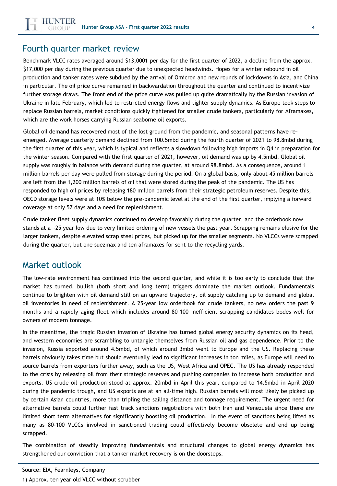## Fourth quarter market review

Benchmark VLCC rates averaged around \$13,0001 per day for the first quarter of 2022, a decline from the approx. \$17,000 per day during the previous quarter due to unexpected headwinds. Hopes for a winter rebound in oil production and tanker rates were subdued by the arrival of Omicron and new rounds of lockdowns in Asia, and China in particular. The oil price curve remained in backwardation throughout the quarter and continued to incentivize further storage draws. The front end of the price curve was pulled up quite dramatically by the Russian invasion of Ukraine in late February, which led to restricted energy flows and tighter supply dynamics. As Europe took steps to replace Russian barrels, market conditions quickly tightened for smaller crude tankers, particularly for Aframaxes, which are the work horses carrying Russian seaborne oil exports.

Global oil demand has recovered most of the lost ground from the pandemic, and seasonal patterns have reemerged. Average quarterly demand declined from 100.5mbd during the fourth quarter of 2021 to 98.8mbd during the first quarter of this year, which is typical and reflects a slowdown following high imports in Q4 in preparation for the winter season. Compared with the first quarter of 2021, however, oil demand was up by 4.5mbd. Global oil supply was roughly in balance with demand during the quarter, at around 98.8mbd. As a consequence, around 1 million barrels per day were pulled from storage during the period. On a global basis, only about 45 million barrels are left from the 1,200 million barrels of oil that were stored during the peak of the pandemic. The US has responded to high oil prices by releasing 180 million barrels from their strategic petroleum reserves. Despite this, OECD storage levels were at 10% below the pre-pandemic level at the end of the first quarter, implying a forward coverage at only 57 days and a need for replenishment.

Crude tanker fleet supply dynamics continued to develop favorably during the quarter, and the orderbook now stands at a ~25 year low due to very limited ordering of new vessels the past year. Scrapping remains elusive for the larger tankers, despite elevated scrap steel prices, but picked up for the smaller segments. No VLCCs were scrapped during the quarter, but one suezmax and ten aframaxes for sent to the recycling yards.

## Market outlook

The low-rate environment has continued into the second quarter, and while it is too early to conclude that the market has turned, bullish (both short and long term) triggers dominate the market outlook. Fundamentals continue to brighten with oil demand still on an upward trajectory, oil supply catching up to demand and global oil inventories in need of replenishment. A 25-year low orderbook for crude tankers, no new orders the past 9 months and a rapidly aging fleet which includes around 80-100 inefficient scrapping candidates bodes well for owners of modern tonnage.

In the meantime, the tragic Russian invasion of Ukraine has turned global energy security dynamics on its head, and western economies are scrambling to untangle themselves from Russian oil and gas dependence. Prior to the invasion, Russia exported around 4.5mbd, of which around 3mbd went to Europe and the US. Replacing these barrels obviously takes time but should eventually lead to significant increases in ton miles, as Europe will need to source barrels from exporters further away, such as the US, West Africa and OPEC. The US has already responded to the crisis by releasing oil from their strategic reserves and pushing companies to increase both production and exports. US crude oil production stood at approx. 20mbd in April this year, compared to 14.5mbd in April 2020 during the pandemic trough, and US exports are at an all-time high. Russian barrels will most likely be picked up by certain Asian countries, more than tripling the sailing distance and tonnage requirement. The urgent need for alternative barrels could further fast track sanctions negotiations with both Iran and Venezuela since there are limited short term alternatives for significantly boosting oil production. In the event of sanctions being lifted as many as 80-100 VLCCs involved in sanctioned trading could effectively become obsolete and end up being scrapped.

The combination of steadily improving fundamentals and structural changes to global energy dynamics has strengthened our conviction that a tanker market recovery is on the doorsteps.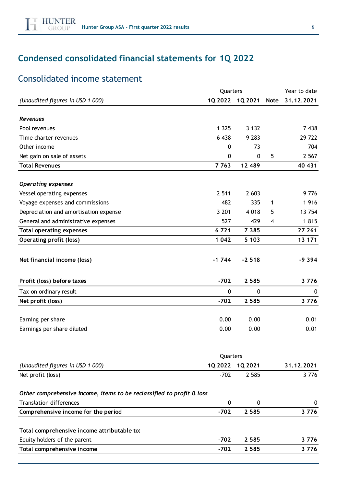# **Condensed consolidated financial statements for 1Q 2022**

## Consolidated income statement

|                                                                       | Quarters  |          |      | Year to date |  |
|-----------------------------------------------------------------------|-----------|----------|------|--------------|--|
| (Unaudited figures in USD 1 000)                                      | 1Q 2022   | 1Q 2021  | Note | 31.12.2021   |  |
|                                                                       |           |          |      |              |  |
| <b>Revenues</b>                                                       |           |          |      |              |  |
| Pool revenues                                                         | 1 3 2 5   | 3 1 3 2  |      | 7438         |  |
| Time charter revenues                                                 | 6 4 3 8   | 9 2 8 3  |      | 29 722       |  |
| Other income                                                          | 0         | 73       |      | 704          |  |
| Net gain on sale of assets                                            | 0         | 0        | 5    | 2 5 6 7      |  |
| <b>Total Revenues</b>                                                 | 7763      | 12 489   |      | 40 431       |  |
|                                                                       |           |          |      |              |  |
| <b>Operating expenses</b>                                             |           |          |      |              |  |
| Vessel operating expenses                                             | 2 5 1 1   | 2 6 0 3  |      | 9 7 7 6      |  |
| Voyage expenses and commissions                                       | 482       | 335      | 1    | 1916         |  |
| Depreciation and amortisation expense                                 | 3 2 0 1   | 4 0 1 8  | 5    | 13 754       |  |
| General and administrative expenses                                   | 527       | 429      | 4    | 1815         |  |
| <b>Total operating expenses</b>                                       | 6721      | 7 3 8 5  |      | 27 261       |  |
| Operating profit (loss)                                               | 1 0 4 2   | 5 1 0 3  |      | 13 171       |  |
| Net financial income (loss)                                           | $-1744$   | $-2518$  |      | $-9394$      |  |
| Profit (loss) before taxes                                            | $-702$    | 2 5 8 5  |      | 3 7 7 6      |  |
| Tax on ordinary result                                                | 0         | 0        |      | 0            |  |
| Net profit (loss)                                                     | $-702$    | 2 5 8 5  |      | 3776         |  |
|                                                                       |           |          |      |              |  |
| Earning per share                                                     | 0.00      | 0.00     |      | 0.01         |  |
| Earnings per share diluted                                            | 0.00      | 0.00     |      | 0.01         |  |
|                                                                       |           | Quarters |      |              |  |
| (Unaudited figures in USD 1 000)                                      | 1Q 2022   | 1Q 2021  |      | 31.12.2021   |  |
| Net profit (loss)                                                     | $-702$    | 2 5 8 5  |      | 3 7 7 6      |  |
| Other comprehensive income, items to be reclassified to profit & loss |           |          |      |              |  |
| <b>Translation differences</b>                                        | $\pmb{0}$ | 0        |      | 0            |  |
| Comprehensive income for the period                                   | $-702$    | 2 5 8 5  |      | 3776         |  |
| Total comprehensive income attributable to:                           |           |          |      |              |  |
| Equity holders of the parent                                          | $-702$    | 2 5 8 5  |      | 3 7 7 6      |  |
| Total comprehensive income                                            | $-702$    | 2 5 8 5  |      | 3 7 7 6      |  |
|                                                                       |           |          |      |              |  |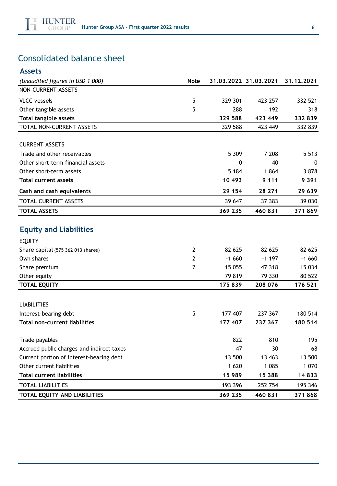# Consolidated balance sheet

| <b>Assets</b>                                                 |                |         |                       |            |
|---------------------------------------------------------------|----------------|---------|-----------------------|------------|
| (Unaudited figures in USD 1 000)                              | Note           |         | 31.03.2022 31.03.2021 | 31.12.2021 |
| NON-CURRENT ASSETS                                            |                |         |                       |            |
| <b>VLCC</b> vessels                                           | 5              | 329 301 | 423 257               | 332 521    |
| Other tangible assets                                         | 5              | 288     | 192                   | 318        |
| <b>Total tangible assets</b>                                  |                | 329 588 | 423 449               | 332839     |
| TOTAL NON-CURRENT ASSETS                                      |                | 329 588 | 423 449               | 332 839    |
| <b>CURRENT ASSETS</b>                                         |                |         |                       |            |
| Trade and other receivables                                   |                | 5 3 0 9 | 7 208                 | 5 5 1 3    |
| Other short-term financial assets                             |                | 0       | 40                    | 0          |
| Other short-term assets                                       |                | 5 1 8 4 | 1864                  | 3 8 7 8    |
| <b>Total current assets</b>                                   |                | 10 493  | 9 1 1 1               | 9 3 9 1    |
| Cash and cash equivalents                                     |                | 29 154  | 28 271                | 29 639     |
| <b>TOTAL CURRENT ASSETS</b>                                   |                | 39 647  | 37 383                | 39 030     |
| <b>TOTAL ASSETS</b>                                           |                | 369 235 | 460 831               | 371869     |
| <b>Equity and Liabilities</b>                                 |                |         |                       |            |
| <b>EQUITY</b>                                                 |                |         |                       |            |
| Share capital (575 362 013 shares)                            | $\overline{2}$ | 82 625  | 82 625                | 82 625     |
| Own shares                                                    | $\overline{2}$ | -1 660  | $-1197$               | $-1660$    |
| Share premium                                                 | 2              | 15 0 55 | 47 318                | 15 0 34    |
| Other equity                                                  |                | 79 819  | 79 330                | 80 522     |
| <b>TOTAL EQUITY</b>                                           |                | 175 839 | 208 076               | 176 521    |
|                                                               |                |         |                       |            |
| <b>LIABILITIES</b>                                            | 5              | 177 407 | 237 367               | 180 514    |
| Interest-bearing debt<br><b>Total non-current liabilities</b> |                | 177 407 | 237 367               | 180 514    |
|                                                               |                |         |                       |            |
| Trade payables                                                |                | 822     | 810                   | 195        |
| Accrued public charges and indirect taxes                     |                | 47      | 30                    | 68         |
| Current portion of interest-bearing debt                      |                | 13 500  | 13 463                | 13 500     |
| Other current liabilities                                     |                | 1 6 2 0 | 1 0 8 5               | 1 0 7 0    |
| <b>Total current liabilities</b>                              |                | 15 989  | 15 388                | 14833      |
| <b>TOTAL LIABILITIES</b>                                      |                | 193 396 | 252 754               | 195 346    |
| TOTAL EQUITY AND LIABILITIES                                  |                | 369 235 | 460 831               | 371868     |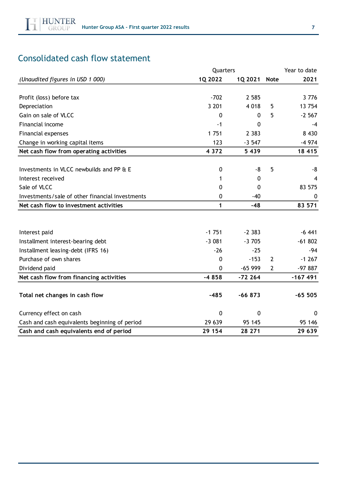## Consolidated cash flow statement

|                                                              | Quarters    |             |                | Year to date |  |
|--------------------------------------------------------------|-------------|-------------|----------------|--------------|--|
| (Unaudited figures in USD 1 000)                             | 1Q 2022     | 1Q 2021     | Note           | 2021         |  |
|                                                              |             |             |                |              |  |
| Profit (loss) before tax                                     | $-702$      | 2 5 8 5     |                | 3776         |  |
| Depreciation                                                 | 3 2 0 1     | 4 0 1 8     | 5              | 13 754       |  |
| Gain on sale of VLCC                                         | 0           | 0           | 5              | $-2567$      |  |
| Financial income                                             | $-1$        | $\mathbf 0$ |                | $-4$         |  |
| Financial expenses                                           | 1 7 5 1     | 2 3 8 3     |                | 8 4 3 0      |  |
| Change in working capital items                              | 123         | $-3547$     |                | $-4974$      |  |
| Net cash flow from operating activities                      | 4 3 7 2     | 5439        |                | 18 415       |  |
|                                                              |             |             |                |              |  |
| Investments in VLCC newbuilds and PP & E                     | 0           | -8          | 5              | -8           |  |
| Interest received                                            |             | 0           |                | 4            |  |
| Sale of VLCC                                                 | 0           | 0           |                | 83 575       |  |
| Investments/sale of other financial investments              | 0           | $-40$       |                | 0            |  |
| Net cash flow to investment activities                       | 1           | $-48$       |                | 83 571       |  |
|                                                              |             |             |                |              |  |
| Interest paid                                                | $-1751$     | $-2.383$    |                | $-6441$      |  |
| Installment interest-bearing debt                            | $-3081$     | $-3705$     |                | $-61802$     |  |
|                                                              | $-26$       | $-25$       |                | $-94$        |  |
| Installment leasing-debt (IFRS 16)<br>Purchase of own shares |             | $-153$      | $\overline{2}$ | $-1267$      |  |
|                                                              | 0           |             |                |              |  |
| Dividend paid                                                | 0           | $-65999$    | $\overline{2}$ | $-97887$     |  |
| Net cash flow from financing activities                      | $-4858$     | $-72264$    |                | $-167491$    |  |
| Total net changes in cash flow                               | $-485$      | $-66873$    |                | $-65505$     |  |
| Currency effect on cash                                      | $\mathbf 0$ | 0           |                | 0            |  |
| Cash and cash equivalents beginning of period                | 29 639      | 95 145      |                | 95 146       |  |
| Cash and cash equivalents end of period                      | 29 154      | 28 271      |                | 29 639       |  |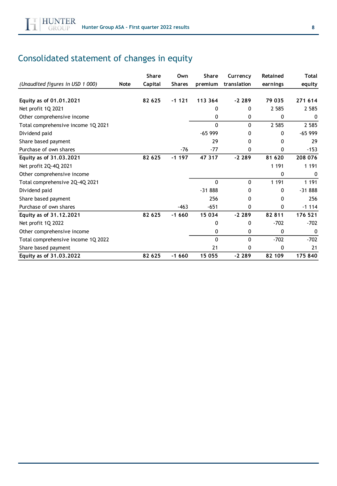# Consolidated statement of changes in equity

|                                    |      | Share   | Own           | <b>Share</b> | Currency     | Retained | Total    |
|------------------------------------|------|---------|---------------|--------------|--------------|----------|----------|
| (Unaudited figures in USD 1 000)   | Note | Capital | <b>Shares</b> | premium      | translation  | earnings | equity   |
|                                    |      |         |               |              |              |          |          |
| Equity as of 01.01.2021            |      | 82 625  | $-1121$       | 113 364      | $-2289$      | 79 035   | 271 614  |
| Net profit 1Q 2021                 |      |         |               | 0            | 0            | 2 5 8 5  | 2 5 8 5  |
| Other comprehensive income         |      |         |               | 0            | 0            | 0        | 0        |
| Total comprehensive income 1Q 2021 |      |         |               | $\Omega$     | 0            | 2 5 8 5  | 2 5 8 5  |
| Dividend paid                      |      |         |               | $-65999$     | 0            | 0        | $-65999$ |
| Share based payment                |      |         |               | 29           | $\Omega$     | 0        | 29       |
| Purchase of own shares             |      |         | $-76$         | $-77$        | 0            | 0        | $-153$   |
| Equity as of 31.03.2021            |      | 82 625  | $-1197$       | 47 317       | $-2289$      | 81 620   | 208 076  |
| Net profit 2Q-4Q 2021              |      |         |               |              |              | 1 1 9 1  | 1 1 9 1  |
| Other comprehensive income         |      |         |               |              |              | 0        | 0        |
| Total comprehensive 2Q-4Q 2021     |      |         |               | $\mathbf{0}$ | $\mathbf{0}$ | 1 1 9 1  | 1 1 9 1  |
| Dividend paid                      |      |         |               | $-31888$     | 0            | 0        | $-31888$ |
| Share based payment                |      |         |               | 256          | 0            | 0        | 256      |
| Purchase of own shares             |      |         | $-463$        | $-651$       | 0            | 0        | $-1114$  |
| Equity as of 31.12.2021            |      | 82 625  | $-1660$       | 15 0 34      | $-2289$      | 82811    | 176 521  |
| Net profit 1Q 2022                 |      |         |               | 0            | 0            | $-702$   | $-702$   |
| Other comprehensive income         |      |         |               | 0            | 0            | 0        | 0        |
| Total comprehensive income 1Q 2022 |      |         |               | 0            | 0            | $-702$   | $-702$   |
| Share based payment                |      |         |               | 21           | 0            | 0        | 21       |
| Equity as of 31.03.2022            |      | 82 625  | $-1660$       | 15 055       | $-2289$      | 82 109   | 175 840  |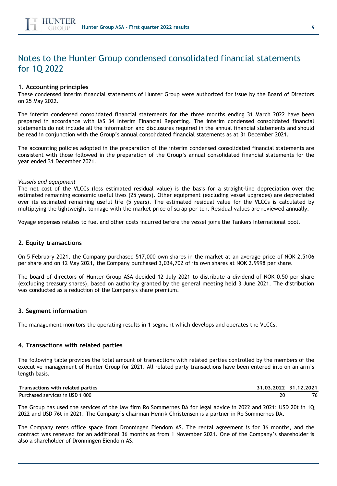## Notes to the Hunter Group condensed consolidated financial statements for 1Q 2022

## **1. Accounting principles**

These condensed interim financial statements of Hunter Group were authorized for issue by the Board of Directors on 25 May 2022.

The interim condensed consolidated financial statements for the three months ending 31 March 2022 have been prepared in accordance with IAS 34 Interim Financial Reporting. The interim condensed consolidated financial statements do not include all the information and disclosures required in the annual financial statements and should be read in conjunction with the Group's annual consolidated financial statements as at 31 December 2021.

The accounting policies adopted in the preparation of the interim condensed consolidated financial statements are consistent with those followed in the preparation of the Group's annual consolidated financial statements for the year ended 31 December 2021.

#### *Vessels and equipment*

The net cost of the VLCCs (less estimated residual value) is the basis for a straight-line depreciation over the estimated remaining economic useful lives (25 years). Other equipment (excluding vessel upgrades) are depreciated over its estimated remaining useful life (5 years). The estimated residual value for the VLCCs is calculated by multiplying the lightweight tonnage with the market price of scrap per ton. Residual values are reviewed annually.

Voyage expenses relates to fuel and other costs incurred before the vessel joins the Tankers International pool.

#### **2. Equity transactions**

On 5 February 2021, the Company purchased 517,000 own shares in the market at an average price of NOK 2.5106 per share and on 12 May 2021, the Company purchased 3,034,702 of its own shares at NOK 2.9998 per share.

The board of directors of Hunter Group ASA decided 12 July 2021 to distribute a dividend of NOK 0.50 per share (excluding treasury shares), based on authority granted by the general meeting held 3 June 2021. The distribution was conducted as a reduction of the Company's share premium.

### **3. Segment information**

The management monitors the operating results in 1 segment which develops and operates the VLCCs.

#### **4. Transactions with related parties**

The following table provides the total amount of transactions with related parties controlled by the members of the executive management of Hunter Group for 2021. All related party transactions have been entered into on an arm's length basis.

| Transactions with related parties | 31.03.2022 31.12.2021 |
|-----------------------------------|-----------------------|
| Purchased services in USD 1 000   |                       |

The Group has used the services of the law firm Ro Sommernes DA for legal advice in 2022 and 2021; USD 20t in 1Q 2022 and USD 76t in 2021. The Company's chairman Henrik Christensen is a partner in Ro Sommernes DA.

The Company rents office space from Dronningen Eiendom AS. The rental agreement is for 36 months, and the contract was renewed for an additional 36 months as from 1 November 2021. One of the Company's shareholder is also a shareholder of Dronningen Eiendom AS.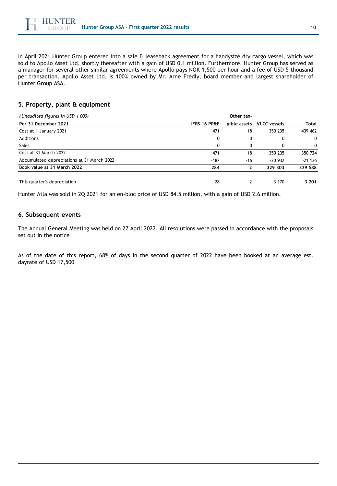In April 2021 Hunter Group entered into a sale & leaseback agreement for a handysize dry cargo vessel, which was sold to Apollo Asset Ltd. shortly thereafter with a gain of USD 0.1 million. Furthermore, Hunter Group has served as a manager for several other similar agreements where Apollo pays NOK 1,500 per hour and a fee of USD 5 thousand per transaction. Apollo Asset Ltd. Is 100% owned by Mr. Arne Fredly, board member and largest shareholder of Hunter Group ASA.

## **5. Property, plant & equipment**

| (Unaudited figures in USD 1000)            |                         |       |                           |              |
|--------------------------------------------|-------------------------|-------|---------------------------|--------------|
| Per 31 December 2021                       | <b>IFRS 16 PP&amp;E</b> |       | gible assets VLCC vessels | Total        |
| Cost at 1 January 2021                     | 471                     | 18    | 350 235                   | 439 462      |
| <b>Additions</b>                           | 0                       | 0     | 0                         | 0            |
| Sales                                      | $\Omega$                | 0     | 0                         | $\mathbf{0}$ |
| Cost at 31 March 2022                      | 471                     | 18    | 350 235                   | 350 724      |
| Accumulated depreciations at 31 March 2022 | $-187$                  | $-16$ | $-20932$                  | $-21136$     |
| Book value at 31 March 2022                | 284                     |       | 329 303                   | 329 588      |
| This quarter's depreciation                | 28                      |       | 3 170                     | 3 201        |

Hunter Atla was sold in 2Q 2021 for an en-bloc price of USD 84.5 million, with a gain of USD 2.6 million.

### **6. Subsequent events**

The Annual General Meeting was held on 27 April 2022. All resolutions were passed in accordance with the proposals set out in the notice

As of the date of this report, 68% of days in the second quarter of 2022 have been booked at an average est. dayrate of USD 17,500